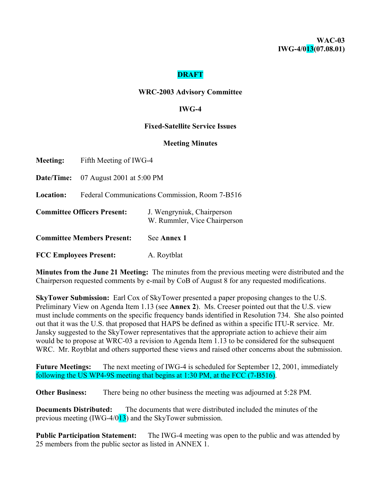## **DRAFT**

#### **WRC-2003 Advisory Committee**

### **IWG-4**

#### **Fixed-Satellite Service Issues**

#### **Meeting Minutes**

| <b>Meeting:</b>                    | Fifth Meeting of IWG-4                         |                                                            |  |  |  |  |
|------------------------------------|------------------------------------------------|------------------------------------------------------------|--|--|--|--|
|                                    | <b>Date/Time:</b> $07$ August 2001 at 5:00 PM  |                                                            |  |  |  |  |
| <b>Location:</b>                   | Federal Communications Commission, Room 7-B516 |                                                            |  |  |  |  |
| <b>Committee Officers Present:</b> |                                                | J. Wengryniuk, Chairperson<br>W. Rummler, Vice Chairperson |  |  |  |  |
| <b>Committee Members Present:</b>  |                                                | See Annex 1                                                |  |  |  |  |
|                                    | <b>FCC Employees Present:</b>                  | A. Roytblat                                                |  |  |  |  |

**Minutes from the June 21 Meeting:** The minutes from the previous meeting were distributed and the Chairperson requested comments by e-mail by CoB of August 8 for any requested modifications.

**SkyTower Submission:** Earl Cox of SkyTower presented a paper proposing changes to the U.S. Preliminary View on Agenda Item 1.13 (see **Annex 2**). Ms. Creeser pointed out that the U.S. view must include comments on the specific frequency bands identified in Resolution 734. She also pointed out that it was the U.S. that proposed that HAPS be defined as within a specific ITU-R service. Mr. Jansky suggested to the SkyTower representatives that the appropriate action to achieve their aim would be to propose at WRC-03 a revision to Agenda Item 1.13 to be considered for the subsequent WRC. Mr. Roytblat and others supported these views and raised other concerns about the submission.

**Future Meetings:** The next meeting of IWG-4 is scheduled for September 12, 2001, immediately following the US WP4-9S meeting that begins at 1:30 PM, at the FCC (7-B516).

**Other Business:** There being no other business the meeting was adjourned at 5:28 PM.

**Documents Distributed:** The documents that were distributed included the minutes of the previous meeting (IWG-4/013) and the SkyTower submission.

**Public Participation Statement:** The IWG-4 meeting was open to the public and was attended by 25 members from the public sector as listed in ANNEX 1.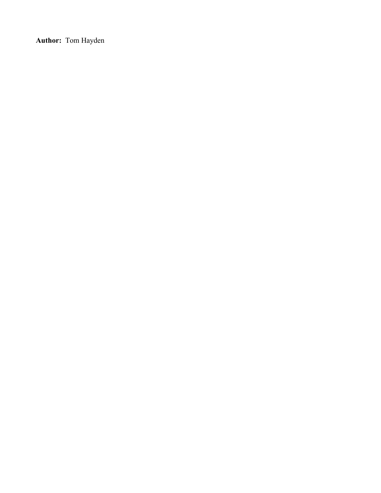**Author:** Tom Hayden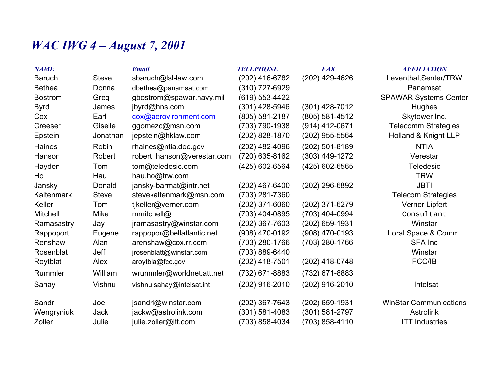# *WAC IWG 4 – August 7, 2001*

| <b>NAME</b>       |              | <b>Email</b>               | <b>TELEPHONE</b> | <b>FAX</b>       | <b>AFFILIATION</b>            |
|-------------------|--------------|----------------------------|------------------|------------------|-------------------------------|
| <b>Baruch</b>     | <b>Steve</b> | sbaruch@lsl-law.com        | (202) 416-6782   | (202) 429-4626   | Leventhal, Senter/TRW         |
| <b>Bethea</b>     | Donna        | dbethea@panamsat.com       | (310) 727-6929   |                  | Panamsat                      |
| <b>Bostrom</b>    | Greg         | gbostrom@spawar.navy.mil   | (619) 553-4422   |                  | <b>SPAWAR Systems Center</b>  |
| <b>Byrd</b>       | James        | jbyrd@hns.com              | (301) 428-5946   | (301) 428-7012   | Hughes                        |
| Cox               | Earl         | cox@aerovironment.com      | (805) 581-2187   | (805) 581-4512   | Skytower Inc.                 |
| Creeser           | Giselle      | ggomezc@msn.com            | (703) 790-1938   | $(914)$ 412-0671 | <b>Telecomm Strategies</b>    |
| Epstein           | Jonathan     | jepstein@hklaw.com         | (202) 828-1870   | (202) 955-5564   | Holland & Knight LLP          |
| <b>Haines</b>     | Robin        | rhaines@ntia.doc.gov       | (202) 482-4096   | (202) 501-8189   | <b>NTIA</b>                   |
| Hanson            | Robert       | robert_hanson@verestar.com | (720) 635-8162   | (303) 449-1272   | Verestar                      |
| Hayden            | Tom          | tom@teledesic.com          | (425) 602-6564   | (425) 602-6565   | <b>Teledesic</b>              |
| Ho                | Hau          | hau.ho@trw.com             |                  |                  | <b>TRW</b>                    |
| Jansky            | Donald       | jansky-barmat@intr.net     | $(202)$ 467-6400 | (202) 296-6892   | <b>JBTI</b>                   |
| <b>Kaltenmark</b> | <b>Steve</b> | stevekaltenmark@msn.com    | (703) 281-7360   |                  | <b>Telecom Strategies</b>     |
| Keller            | Tom          | tjkeller@verner.com        | (202) 371-6060   | (202) 371-6279   | Verner Lipfert                |
| <b>Mitchell</b>   | Mike         | mmitchell@                 | (703) 404-0895   | (703) 404-0994   | Consultant                    |
| Ramasastry        | Jay          | jramasastry@winstar.com    | (202) 367-7603   | (202) 659-1931   | Winstar                       |
| Rappoport         | Eugene       | rappopor@bellatlantic.net  | (908) 470-0192   | (908) 470-0193   | Loral Space & Comm.           |
| Renshaw           | Alan         | arenshaw@cox.rr.com        | (703) 280-1766   | (703) 280-1766   | <b>SFA Inc</b>                |
| Rosenblat         | Jeff         | jrosenblatt@winstar.com    | (703) 889-6440   |                  | Winstar                       |
| Roytblat          | Alex         | aroytbla@fcc.gov           | $(202)$ 418-7501 | $(202)$ 418-0748 | FCC/IB                        |
| Rummler           | William      | wrummler@worldnet.att.net  | (732) 671-8883   | (732) 671-8883   |                               |
| Sahay             | Vishnu       | vishnu.sahay@intelsat.int  | (202) 916-2010   | (202) 916-2010   | Intelsat                      |
| Sandri            | Joe          | jsandri@winstar.com        | (202) 367-7643   | (202) 659-1931   | <b>WinStar Communications</b> |
| Wengryniuk        | Jack         | jackw@astrolink.com        | (301) 581-4083   | (301) 581-2797   | <b>Astrolink</b>              |
| Zoller            | Julie        | julie.zoller@itt.com       | (703) 858-4034   | (703) 858-4110   | <b>ITT Industries</b>         |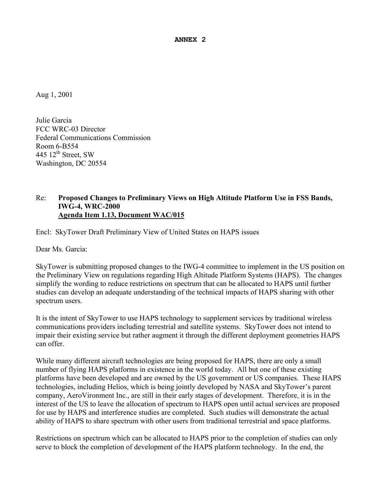**ANNEX 2**

Aug 1, 2001

Julie Garcia FCC WRC-03 Director Federal Communications Commission Room 6-B554 445  $12<sup>th</sup>$  Street, SW Washington, DC 20554

## Re: **Proposed Changes to Preliminary Views on High Altitude Platform Use in FSS Bands, IWG-4, WRC-2000 Agenda Item 1.13, Document WAC/015**

Encl: SkyTower Draft Preliminary View of United States on HAPS issues

Dear Ms. Garcia:

SkyTower is submitting proposed changes to the IWG-4 committee to implement in the US position on the Preliminary View on regulations regarding High Altitude Platform Systems (HAPS). The changes simplify the wording to reduce restrictions on spectrum that can be allocated to HAPS until further studies can develop an adequate understanding of the technical impacts of HAPS sharing with other spectrum users.

It is the intent of SkyTower to use HAPS technology to supplement services by traditional wireless communications providers including terrestrial and satellite systems. SkyTower does not intend to impair their existing service but rather augment it through the different deployment geometries HAPS can offer.

While many different aircraft technologies are being proposed for HAPS, there are only a small number of flying HAPS platforms in existence in the world today. All but one of these existing platforms have been developed and are owned by the US government or US companies. These HAPS technologies, including Helios, which is being jointly developed by NASA and SkyTower's parent company, AeroVironment Inc., are still in their early stages of development. Therefore, it is in the interest of the US to leave the allocation of spectrum to HAPS open until actual services are proposed for use by HAPS and interference studies are completed. Such studies will demonstrate the actual ability of HAPS to share spectrum with other users from traditional terrestrial and space platforms.

Restrictions on spectrum which can be allocated to HAPS prior to the completion of studies can only serve to block the completion of development of the HAPS platform technology. In the end, the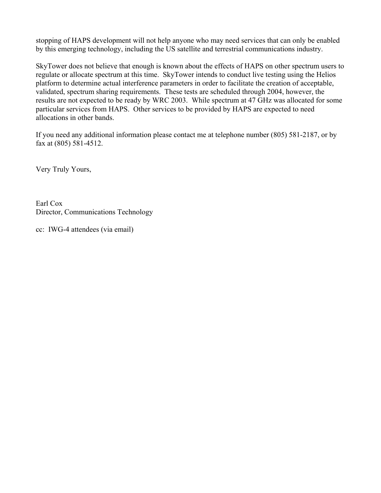stopping of HAPS development will not help anyone who may need services that can only be enabled by this emerging technology, including the US satellite and terrestrial communications industry.

SkyTower does not believe that enough is known about the effects of HAPS on other spectrum users to regulate or allocate spectrum at this time. SkyTower intends to conduct live testing using the Helios platform to determine actual interference parameters in order to facilitate the creation of acceptable, validated, spectrum sharing requirements. These tests are scheduled through 2004, however, the results are not expected to be ready by WRC 2003. While spectrum at 47 GHz was allocated for some particular services from HAPS. Other services to be provided by HAPS are expected to need allocations in other bands.

If you need any additional information please contact me at telephone number (805) 581-2187, or by fax at (805) 581-4512.

Very Truly Yours,

Earl Cox Director, Communications Technology

cc: IWG-4 attendees (via email)